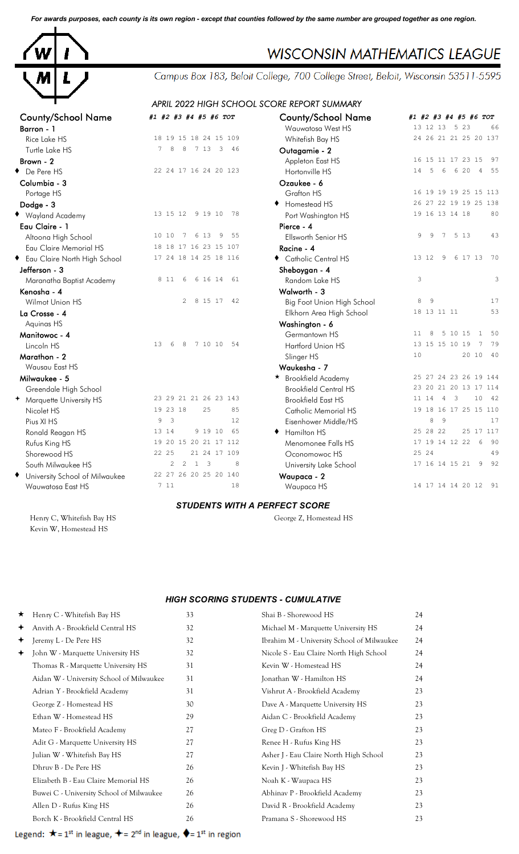*For awards purposes, each county is its own region - except that counties followed by the same number are grouped together as one region.*



# **WISCONSIN MATHEMATICS LEAGUE**

Campus Box 183, Beloit College, 700 College Street, Beloit, Wisconsin 53511-5595

## *APRIL 2022 HIGH SCHOOL SCORE REPORT SUMMARY*

| #1 #2 #3 #4 #5 #6 TOT                         | <b>County/School Name</b>    | #1 #2 #3 #4 #5 #6 TOT                                            |
|-----------------------------------------------|------------------------------|------------------------------------------------------------------|
|                                               | Wauwatosa West HS            | 13 12 13 5 23<br>66                                              |
| 18 19 15 18 24 15 109                         | Whitefish Bay HS             | 24 26 21 21 25 20 137                                            |
| 7 <sup>1</sup><br>8<br>8<br>7 13 3 46         | Outagamie - 2                |                                                                  |
|                                               | Appleton East HS             | 16 15 11 17 23 15<br>- 97                                        |
| 22 24 17 16 24 20 123                         | Hortonville HS               | 6 20<br>14<br>5<br>6<br>$\overline{4}$<br>55                     |
|                                               | Ozaukee - 6                  |                                                                  |
|                                               | Grafton HS                   | 16 19 19 19 25 15 113                                            |
|                                               | ◆ Homestead HS               | 26 27 22 19 19 25 138                                            |
| 13 15 12<br>9 19 10 78                        | Port Washington HS           | 19 16 13 14 18<br>80                                             |
|                                               | Pierce - 4                   |                                                                  |
| 10 10<br>6 13<br>55<br>7<br>9                 | Ellsworth Senior HS          | 9<br>9<br>7<br>5 1 3<br>43                                       |
| 18 18 17 16 23 15 107                         | Racine - 4                   |                                                                  |
| 17 24 18 14 25 18 116                         | Catholic Central HS          | 70<br>13 12<br>6 17 13<br>9                                      |
|                                               | Sheboygan - 4                |                                                                  |
| 8 1 1<br>6<br>6 16 14<br>61                   | Random Lake HS               | 3<br>3                                                           |
|                                               | Walworth - 3                 |                                                                  |
| 2<br>8 15 17<br>42                            | Big Foot Union High School   | 9<br>17<br>8                                                     |
|                                               | Elkhorn Area High School     | 53<br>18 13 11 11                                                |
|                                               | Washington - 6               |                                                                  |
|                                               | Germantown HS                | 50<br>11<br>8<br>5 10 15<br>$\,$ 1 $\,$                          |
| 13<br>7 10 10<br>54<br>6<br>8                 | Hartford Union HS            | 13 15 15 10 19<br>$\overline{7}$<br>79                           |
|                                               | Slinger HS                   | 40<br>10<br>20 10                                                |
|                                               | Waukesha - 7                 |                                                                  |
|                                               | ★ Brookfield Academy         | 25 27 24 23 26 19 144                                            |
|                                               | <b>Brookfield Central HS</b> | 23 20 21 20 13 17 114                                            |
| 23 29 21 21 26 23 143                         | <b>Brookfield East HS</b>    | 10<br>- 42<br>11 14<br>$\overline{4}$<br>$\overline{\mathbf{3}}$ |
| 19 23 18<br>25<br>85                          | <b>Catholic Memorial HS</b>  | 19 18 16 17 25 15 110                                            |
| $\overline{\mathbf{3}}$<br>12<br>9            | Eisenhower Middle/HS         | 8<br>17<br>9                                                     |
| 9 19 10<br>65<br>13 14                        | ← Hamilton HS                | 25 17 117<br>25 28 22                                            |
| 19 20 15 20 21 17 112                         | Menomonee Falls HS           | 17 19 14 12 22 6<br>- 90                                         |
| 22 25<br>21 24 17 109                         | Oconomowoc HS                | 25 24<br>49                                                      |
| $1 \quad 3$<br>$\overline{2}$<br>2<br>$\,8\,$ | University Lake School       | 17 16 14 15 21<br>9<br>92                                        |
| 22 27 26 20 25 20 140                         | Waupaca - 2                  |                                                                  |
| 7 11<br>18                                    |                              | 14 17 14 14 20 12 91                                             |
|                                               |                              | Waupaca HS                                                       |

#### *STUDENTS WITH A PERFECT SCORE*

Henry C, Whitefish Bay HS George Z, Homestead HS Kevin W, Homestead HS

### *HIGH SCORING STUDENTS - CUMULATIVE*

| $\star$ | Henry C - Whitefish Bay HS               | 33 | Shai B - Shorewood HS                      | 24 |
|---------|------------------------------------------|----|--------------------------------------------|----|
| ✦       | Anvith A - Brookfield Central HS         | 32 | Michael M - Marquette University HS        | 24 |
| ✦       | Jeremy L - De Pere HS                    | 32 | Ibrahim M - University School of Milwaukee | 24 |
| ✦       | John W - Marquette University HS         | 32 | Nicole S - Eau Claire North High School    | 24 |
|         | Thomas R - Marquette University HS       | 31 | Kevin W - Homestead HS                     | 24 |
|         | Aidan W - University School of Milwaukee | 31 | Jonathan W - Hamilton HS                   | 24 |
|         | Adrian Y - Brookfield Academy            | 31 | Vishrut A - Brookfield Academy             | 23 |
|         | George Z - Homestead HS                  | 30 | Dave A - Marquette University HS           | 23 |
|         | Ethan W - Homestead HS                   | 29 | Aidan C - Brookfield Academy               | 23 |
|         | Mateo F - Brookfield Academy             | 27 | Greg D - Grafton HS                        | 23 |
|         | Adit G - Marquette University HS         | 27 | Renee H - Rufus King HS                    | 23 |
|         | Julian W - Whitefish Bay HS              | 27 | Asher J - Eau Claire North High School     | 23 |
|         | Dhruy B - De Pere HS                     | 26 | Kevin J - Whitefish Bay HS                 | 23 |
|         | Elizabeth B - Eau Claire Memorial HS     | 26 | Noah K - Waupaca HS                        | 23 |
|         | Buwei C - University School of Milwaukee | 26 | Abhinav P - Brookfield Academy             | 23 |
|         | Allen D - Rufus King HS                  | 26 | David R - Brookfield Academy               | 23 |
|         | Borch K - Brookfield Central HS          | 26 | Pramana S - Shorewood HS                   | 23 |